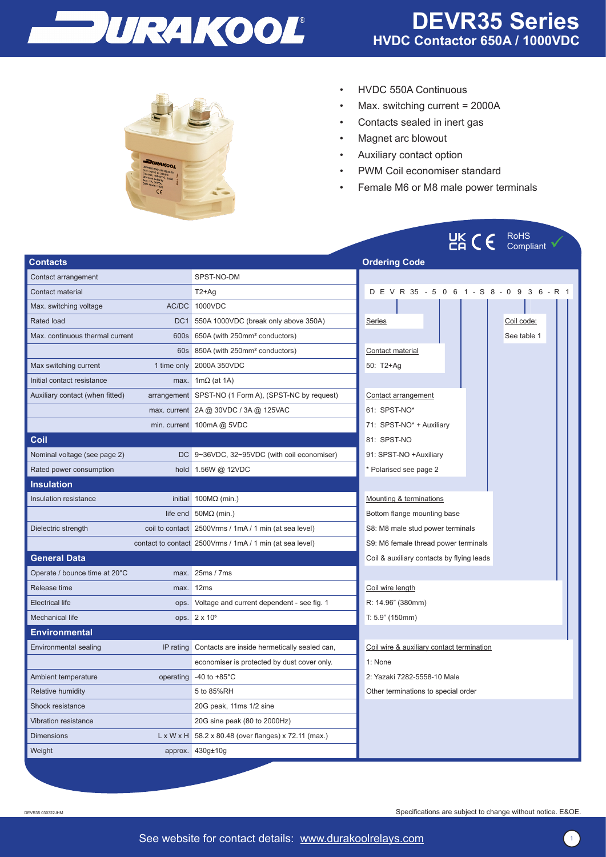

UK  $\mathcal{C}$  RoHS



- HVDC 550A Continuous
- Max. switching current = 2000A
- Contacts sealed in inert gas
- Magnet arc blowout
- Auxiliary contact option
- PWM Coil economiser standard
- Female M6 or M8 male power terminals

|                                 |           |                                                                  | CA / /<br>Compliant                        |  |  |  |
|---------------------------------|-----------|------------------------------------------------------------------|--------------------------------------------|--|--|--|
| <b>Contacts</b>                 |           |                                                                  | <b>Ordering Code</b>                       |  |  |  |
| Contact arrangement             |           | SPST-NO-DM                                                       |                                            |  |  |  |
| Contact material                |           | $T2+Aq$                                                          | D E V R 35 - 5 0 6 1 - S 8 - 0 9 3 6 - R 1 |  |  |  |
| Max. switching voltage          |           | AC/DC 1000VDC                                                    |                                            |  |  |  |
| <b>Rated load</b>               |           | DC1 550A 1000VDC (break only above 350A)                         | Series<br>Coil code:                       |  |  |  |
| Max. continuous thermal current |           | 600s 650A (with 250mm <sup>2</sup> conductors)                   | See table 1                                |  |  |  |
|                                 |           | 60s 850A (with 250mm <sup>2</sup> conductors)                    | Contact material                           |  |  |  |
| Max switching current           |           | 1 time only 2000A 350VDC                                         | 50: T2+Ag                                  |  |  |  |
| Initial contact resistance      |           | max. $1m\Omega$ (at 1A)                                          |                                            |  |  |  |
| Auxiliary contact (when fitted) |           | arrangement SPST-NO (1 Form A), (SPST-NC by request)             | Contact arrangement                        |  |  |  |
|                                 |           | max. current 2A @ 30VDC / 3A @ 125VAC                            | 61: SPST-NO*                               |  |  |  |
|                                 |           | min. current 100mA @ 5VDC                                        | 71: SPST-NO* + Auxiliary                   |  |  |  |
| Coil                            |           |                                                                  | 81: SPST-NO                                |  |  |  |
| Nominal voltage (see page 2)    |           | DC 9~36VDC, 32~95VDC (with coil economiser)                      | 91: SPST-NO +Auxiliary                     |  |  |  |
| Rated power consumption         |           | hold 1.56W @ 12VDC                                               | * Polarised see page 2                     |  |  |  |
| <b>Insulation</b>               |           |                                                                  |                                            |  |  |  |
| Insulation resistance           |           | initial $100M\Omega$ (min.)                                      | Mounting & terminations                    |  |  |  |
|                                 |           | life end $50M\Omega$ (min.)                                      | Bottom flange mounting base                |  |  |  |
| Dielectric strength             |           | coil to contact 2500Vrms / 1mA / 1 min (at sea level)            | S8: M8 male stud power terminals           |  |  |  |
|                                 |           | contact to contact 2500Vrms / 1mA / 1 min (at sea level)         | S9: M6 female thread power terminals       |  |  |  |
| <b>General Data</b>             |           |                                                                  | Coil & auxiliary contacts by flying leads  |  |  |  |
| Operate / bounce time at 20°C   | max.      | 25ms / 7ms                                                       |                                            |  |  |  |
| Release time                    | max.      | 12 <sub>ms</sub>                                                 | Coil wire length                           |  |  |  |
| <b>Electrical life</b>          | ops.      | Voltage and current dependent - see fig. 1                       | R: 14.96" (380mm)                          |  |  |  |
| Mechanical life                 |           | ops. 2 x 10 <sup>5</sup>                                         | T: 5.9" (150mm)                            |  |  |  |
| Environmental                   |           |                                                                  |                                            |  |  |  |
| Environmental sealing           |           | IP rating Contacts are inside hermetically sealed can,           | Coil wire & auxiliary contact termination  |  |  |  |
|                                 |           | economiser is protected by dust cover only.                      | 1: None                                    |  |  |  |
| Ambient temperature             | operating | -40 to $+85^{\circ}$ C                                           | 2: Yazaki 7282-5558-10 Male                |  |  |  |
| <b>Relative humidity</b>        |           | 5 to 85%RH                                                       | Other terminations to special order        |  |  |  |
| <b>Shock resistance</b>         |           | 20G peak, 11ms 1/2 sine                                          |                                            |  |  |  |
| Vibration resistance            |           | 20G sine peak (80 to 2000Hz)                                     |                                            |  |  |  |
| <b>Dimensions</b>               |           | $L \times W \times H$ 58.2 x 80.48 (over flanges) x 72.11 (max.) |                                            |  |  |  |
| Weight                          |           | approx. 430g±10g                                                 |                                            |  |  |  |

DEVR35 030322JHM